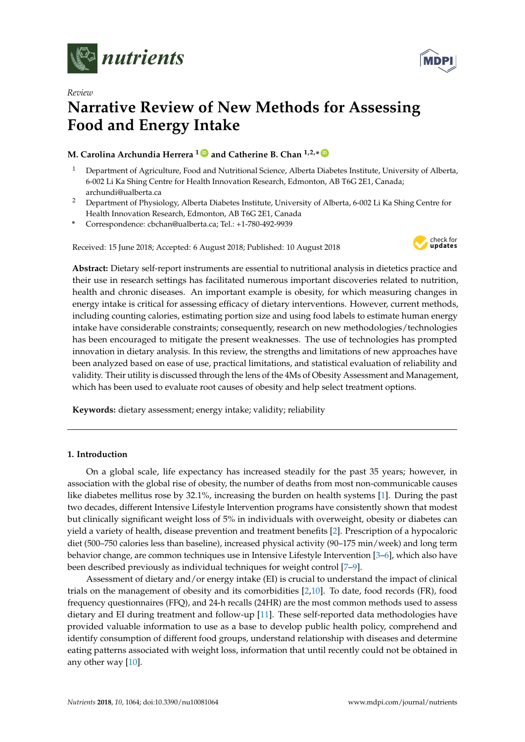

*Review*



# **Narrative Review of New Methods for Assessing Food and Energy Intake**

## **M. Carolina Archundia Herrera <sup>1</sup> [ID](https://orcid.org/0000-0002-5270-6764) and Catherine B. Chan 1,2,\* [ID](https://orcid.org/0000-0003-3882-0592)**

- <sup>1</sup> Department of Agriculture, Food and Nutritional Science, Alberta Diabetes Institute, University of Alberta, 6-002 Li Ka Shing Centre for Health Innovation Research, Edmonton, AB T6G 2E1, Canada; archundi@ualberta.ca
- <sup>2</sup> Department of Physiology, Alberta Diabetes Institute, University of Alberta, 6-002 Li Ka Shing Centre for Health Innovation Research, Edmonton, AB T6G 2E1, Canada
- **\*** Correspondence: cbchan@ualberta.ca; Tel.: +1-780-492-9939

Received: 15 June 2018; Accepted: 6 August 2018; Published: 10 August 2018



**Abstract:** Dietary self-report instruments are essential to nutritional analysis in dietetics practice and their use in research settings has facilitated numerous important discoveries related to nutrition, health and chronic diseases. An important example is obesity, for which measuring changes in energy intake is critical for assessing efficacy of dietary interventions. However, current methods, including counting calories, estimating portion size and using food labels to estimate human energy intake have considerable constraints; consequently, research on new methodologies/technologies has been encouraged to mitigate the present weaknesses. The use of technologies has prompted innovation in dietary analysis. In this review, the strengths and limitations of new approaches have been analyzed based on ease of use, practical limitations, and statistical evaluation of reliability and validity. Their utility is discussed through the lens of the 4Ms of Obesity Assessment and Management, which has been used to evaluate root causes of obesity and help select treatment options.

**Keywords:** dietary assessment; energy intake; validity; reliability

## **1. Introduction**

On a global scale, life expectancy has increased steadily for the past 35 years; however, in association with the global rise of obesity, the number of deaths from most non-communicable causes like diabetes mellitus rose by 32.1%, increasing the burden on health systems [\[1\]](#page-15-0). During the past two decades, different Intensive Lifestyle Intervention programs have consistently shown that modest but clinically significant weight loss of 5% in individuals with overweight, obesity or diabetes can yield a variety of health, disease prevention and treatment benefits [\[2\]](#page-15-1). Prescription of a hypocaloric diet (500–750 calories less than baseline), increased physical activity (90–175 min/week) and long term behavior change, are common techniques use in Intensive Lifestyle Intervention [\[3](#page-15-2)[–6\]](#page-15-3), which also have been described previously as individual techniques for weight control [\[7](#page-15-4)[–9\]](#page-16-0).

Assessment of dietary and/or energy intake (EI) is crucial to understand the impact of clinical trials on the management of obesity and its comorbidities [\[2,](#page-15-1)[10\]](#page-16-1). To date, food records (FR), food frequency questionnaires (FFQ), and 24-h recalls (24HR) are the most common methods used to assess dietary and EI during treatment and follow-up [\[11\]](#page-16-2). These self-reported data methodologies have provided valuable information to use as a base to develop public health policy, comprehend and identify consumption of different food groups, understand relationship with diseases and determine eating patterns associated with weight loss, information that until recently could not be obtained in any other way [\[10\]](#page-16-1).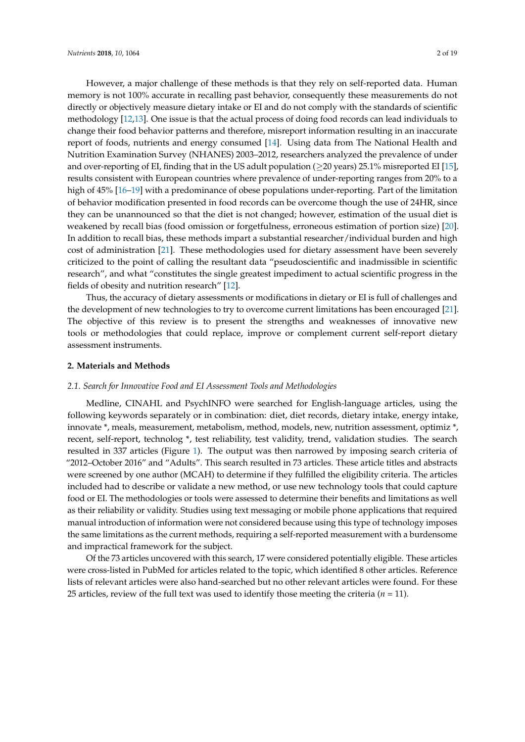However, a major challenge of these methods is that they rely on self-reported data. Human memory is not 100% accurate in recalling past behavior, consequently these measurements do not directly or objectively measure dietary intake or EI and do not comply with the standards of scientific methodology [\[12,](#page-16-3)[13\]](#page-16-4). One issue is that the actual process of doing food records can lead individuals to change their food behavior patterns and therefore, misreport information resulting in an inaccurate report of foods, nutrients and energy consumed [\[14\]](#page-16-5). Using data from The National Health and Nutrition Examination Survey (NHANES) 2003–2012, researchers analyzed the prevalence of under and over-reporting of EI, finding that in the US adult population ( $\geq$ 20 years) 25.1% misreported EI [\[15\]](#page-16-6), results consistent with European countries where prevalence of under-reporting ranges from 20% to a high of 45% [\[16–](#page-16-7)[19\]](#page-16-8) with a predominance of obese populations under-reporting. Part of the limitation of behavior modification presented in food records can be overcome though the use of 24HR, since they can be unannounced so that the diet is not changed; however, estimation of the usual diet is weakened by recall bias (food omission or forgetfulness, erroneous estimation of portion size) [\[20\]](#page-16-9). In addition to recall bias, these methods impart a substantial researcher/individual burden and high cost of administration [\[21\]](#page-16-10). These methodologies used for dietary assessment have been severely criticized to the point of calling the resultant data "pseudoscientific and inadmissible in scientific research", and what "constitutes the single greatest impediment to actual scientific progress in the fields of obesity and nutrition research" [\[12\]](#page-16-3).

Thus, the accuracy of dietary assessments or modifications in dietary or EI is full of challenges and the development of new technologies to try to overcome current limitations has been encouraged [\[21\]](#page-16-10). The objective of this review is to present the strengths and weaknesses of innovative new tools or methodologies that could replace, improve or complement current self-report dietary assessment instruments.

#### **2. Materials and Methods**

#### *2.1. Search for Innovative Food and EI Assessment Tools and Methodologies*

Medline, CINAHL and PsychINFO were searched for English-language articles, using the following keywords separately or in combination: diet, diet records, dietary intake, energy intake, innovate \*, meals, measurement, metabolism, method, models, new, nutrition assessment, optimiz \*, recent, self-report, technolog \*, test reliability, test validity, trend, validation studies. The search resulted in 337 articles (Figure [1\)](#page-2-0). The output was then narrowed by imposing search criteria of "2012–October 2016" and "Adults". This search resulted in 73 articles. These article titles and abstracts were screened by one author (MCAH) to determine if they fulfilled the eligibility criteria. The articles included had to describe or validate a new method, or use new technology tools that could capture food or EI. The methodologies or tools were assessed to determine their benefits and limitations as well as their reliability or validity. Studies using text messaging or mobile phone applications that required manual introduction of information were not considered because using this type of technology imposes the same limitations as the current methods, requiring a self-reported measurement with a burdensome and impractical framework for the subject.

Of the 73 articles uncovered with this search, 17 were considered potentially eligible. These articles were cross-listed in PubMed for articles related to the topic, which identified 8 other articles. Reference lists of relevant articles were also hand-searched but no other relevant articles were found. For these 25 articles, review of the full text was used to identify those meeting the criteria  $(n = 11)$ .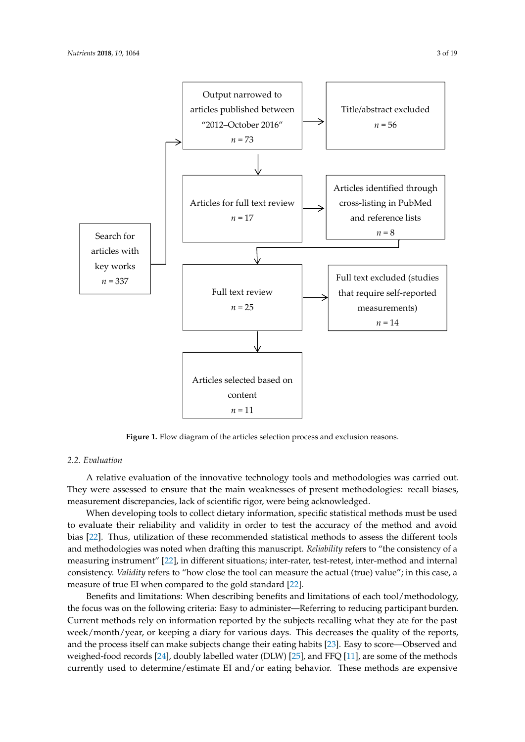<span id="page-2-0"></span>

**Figure 1.** Flow diagram of the articles selection process and exclusion reasons. **Figure 1.** Flow diagram of the articles selection process and exclusion reasons.

## *2.2. Evaluation 2.2. Evaluation*

A relative evaluation of the innovative technology tools and methodologies was carried out. were assessed to ensure that the main weaknesses of present methodologies: recall biases, They were assessed to ensure that the main weaknesses of present methodologies: recall biases, measurement discrepancies, lack of scientific rigor, were being acknowledged. measurement discrepancies, lack of scientific rigor, were being acknowledged.

when developing tools to collect dietary information, specific statistical methods must be used When developing tools to collect dietary information, specific statistical methods must be used to evaluate their reliability and validity in order to test the accuracy of the method and avoid bias [\[22\]](#page-16-11). Thus, utilization of these recommended statistical methods to assess the different tools methodologies was noted when drafting this manuscript. *Reliability* refers to "the consistency of a and methodologies was noted when drafting this manuscript. *Reliability* refers to "the consistency of a measuring instrument" [\[22\]](#page-16-11), in different situations; inter-rater, test-retest, inter-method and internal measuring instrument" [22], in different situations; inter-rater, test-retest, inter-method and internal consistency. *Validity* refers to "how close the tool can measure the actual (true) value"; in this case, a measure of true EI when compared to the gold standard [22]. measure of true EI when compared to the gold standard [\[22\]](#page-16-11).

Benefits and limitations: When describing benefits and limitations of each tool/methodology, focus was on the following criteria: Easy to administer—Referring to reducing participant burden. the focus was on the following criteria: Easy to administer—Referring to reducing participant burden. Current methods rely on information reported by the subjects recalling what they ate for the past Current methods rely on information reported by the subjects recalling what they ate for the past week/month/year, or keeping a diary for various days. This decreases the quality of the reports,  $\omega$ metry monthly year, or neeping a data y for various days. This decreases the quality of the reports, and the process itself can make subjects change their eating habits [\[23\]](#page-16-12). Easy to score—Observed and weighed-food records [\[24\]](#page-16-13), doubly labelled water (DLW) [\[25\]](#page-16-14), and FFQ [\[11\]](#page-16-2), are some of the methods  $\alpha$  and  $\alpha$  and  $\alpha$  and  $\alpha$  and  $\alpha$  and  $\alpha$  and  $\alpha$  and  $\alpha$  expensive and  $\alpha$  in  $\alpha$  are expensive and  $\alpha$  and  $\alpha$  and  $\alpha$  and  $\alpha$  and  $\alpha$  and  $\alpha$  and  $\alpha$  and  $\alpha$  and  $\alpha$  and  $\alpha$  and  $\alpha$  and  $\alpha$  and currently used to determine/estimate EI and/or eating behavior. These methods are expensive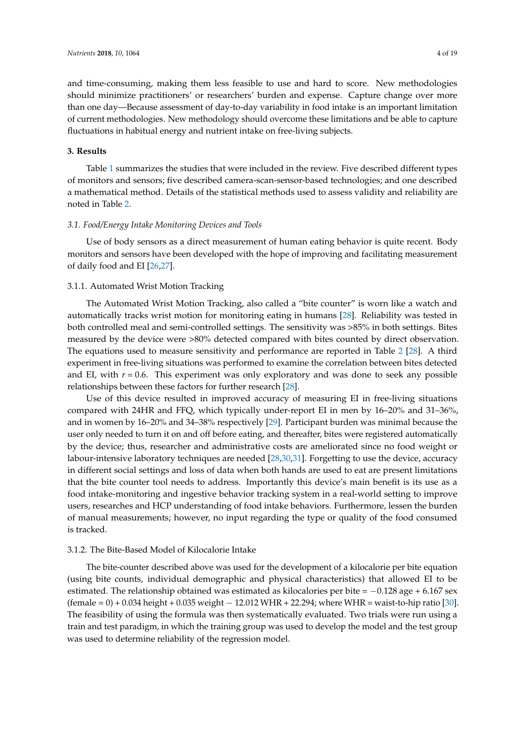and time-consuming, making them less feasible to use and hard to score. New methodologies should minimize practitioners' or researchers' burden and expense. Capture change over more than one day—Because assessment of day-to-day variability in food intake is an important limitation of current methodologies. New methodology should overcome these limitations and be able to capture fluctuations in habitual energy and nutrient intake on free-living subjects.

#### **3. Results**

Table [1](#page-6-0) summarizes the studies that were included in the review. Five described different types of monitors and sensors; five described camera-scan-sensor-based technologies; and one described a mathematical method. Details of the statistical methods used to assess validity and reliability are noted in Table [2.](#page-9-0)

#### *3.1. Food/Energy Intake Monitoring Devices and Tools*

Use of body sensors as a direct measurement of human eating behavior is quite recent. Body monitors and sensors have been developed with the hope of improving and facilitating measurement of daily food and EI [\[26,](#page-16-15)[27\]](#page-16-16).

#### 3.1.1. Automated Wrist Motion Tracking

The Automated Wrist Motion Tracking, also called a "bite counter" is worn like a watch and automatically tracks wrist motion for monitoring eating in humans [\[28\]](#page-16-17). Reliability was tested in both controlled meal and semi-controlled settings. The sensitivity was >85% in both settings. Bites measured by the device were >80% detected compared with bites counted by direct observation. The equations used to measure sensitivity and performance are reported in Table [2](#page-9-0) [\[28\]](#page-16-17). A third experiment in free-living situations was performed to examine the correlation between bites detected and EI, with  $r = 0.6$ . This experiment was only exploratory and was done to seek any possible relationships between these factors for further research [\[28\]](#page-16-17).

Use of this device resulted in improved accuracy of measuring EI in free-living situations compared with 24HR and FFQ, which typically under-report EI in men by 16–20% and 31–36%, and in women by 16–20% and 34–38% respectively [\[29\]](#page-16-18). Participant burden was minimal because the user only needed to turn it on and off before eating, and thereafter, bites were registered automatically by the device; thus, researcher and administrative costs are ameliorated since no food weight or labour-intensive laboratory techniques are needed [\[28,](#page-16-17)[30,](#page-17-0)[31\]](#page-17-1). Forgetting to use the device, accuracy in different social settings and loss of data when both hands are used to eat are present limitations that the bite counter tool needs to address. Importantly this device's main benefit is its use as a food intake-monitoring and ingestive behavior tracking system in a real-world setting to improve users, researches and HCP understanding of food intake behaviors. Furthermore, lessen the burden of manual measurements; however, no input regarding the type or quality of the food consumed is tracked.

#### 3.1.2. The Bite-Based Model of Kilocalorie Intake

The bite-counter described above was used for the development of a kilocalorie per bite equation (using bite counts, individual demographic and physical characteristics) that allowed EI to be estimated. The relationship obtained was estimated as kilocalories per bite =  $-0.128$  age + 6.167 sex (female = 0) + 0.034 height + 0.035 weight − 12.012 WHR + 22.294; where WHR = waist-to-hip ratio [\[30\]](#page-17-0). The feasibility of using the formula was then systematically evaluated. Two trials were run using a train and test paradigm, in which the training group was used to develop the model and the test group was used to determine reliability of the regression model.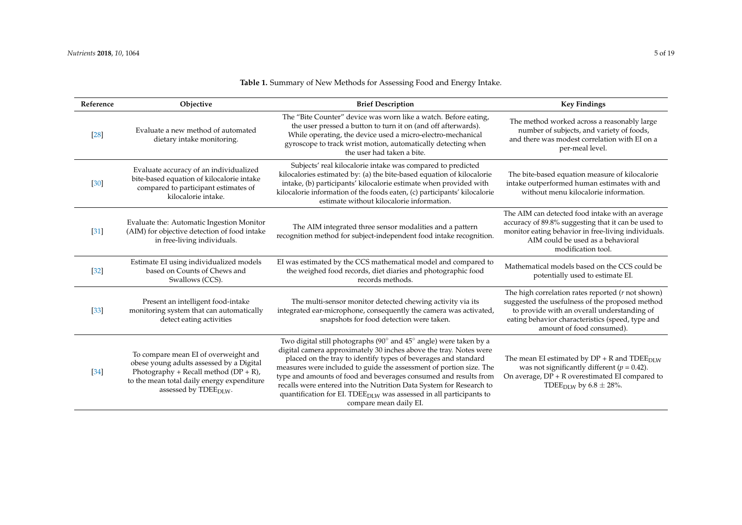| Reference         | Objective                                                                                                                                                                                                       | <b>Brief Description</b>                                                                                                                                                                                                                                                                                                                                                                                                                                                                                                               | <b>Key Findings</b>                                                                                                                                                                                                                            |  |
|-------------------|-----------------------------------------------------------------------------------------------------------------------------------------------------------------------------------------------------------------|----------------------------------------------------------------------------------------------------------------------------------------------------------------------------------------------------------------------------------------------------------------------------------------------------------------------------------------------------------------------------------------------------------------------------------------------------------------------------------------------------------------------------------------|------------------------------------------------------------------------------------------------------------------------------------------------------------------------------------------------------------------------------------------------|--|
| $[28]$            | Evaluate a new method of automated<br>dietary intake monitoring.                                                                                                                                                | The "Bite Counter" device was worn like a watch. Before eating,<br>the user pressed a button to turn it on (and off afterwards).<br>While operating, the device used a micro-electro-mechanical<br>gyroscope to track wrist motion, automatically detecting when<br>the user had taken a bite.                                                                                                                                                                                                                                         | The method worked across a reasonably large<br>number of subjects, and variety of foods,<br>and there was modest correlation with EI on a<br>per-meal level.                                                                                   |  |
| $[30]$            | Evaluate accuracy of an individualized<br>bite-based equation of kilocalorie intake<br>compared to participant estimates of<br>kilocalorie intake.                                                              | Subjects' real kilocalorie intake was compared to predicted<br>kilocalories estimated by: (a) the bite-based equation of kilocalorie<br>intake, (b) participants' kilocalorie estimate when provided with<br>kilocalorie information of the foods eaten, (c) participants' kilocalorie<br>estimate without kilocalorie information.                                                                                                                                                                                                    | The bite-based equation measure of kilocalorie<br>intake outperformed human estimates with and<br>without menu kilocalorie information.                                                                                                        |  |
| [31]              | Evaluate the: Automatic Ingestion Monitor<br>(AIM) for objective detection of food intake<br>in free-living individuals.                                                                                        | The AIM integrated three sensor modalities and a pattern<br>recognition method for subject-independent food intake recognition.                                                                                                                                                                                                                                                                                                                                                                                                        | The AIM can detected food intake with an average<br>accuracy of 89.8% suggesting that it can be used to<br>monitor eating behavior in free-living individuals.<br>AIM could be used as a behavioral<br>modification tool.                      |  |
| $[32]$            | Estimate EI using individualized models<br>based on Counts of Chews and<br>Swallows (CCS).                                                                                                                      | EI was estimated by the CCS mathematical model and compared to<br>the weighed food records, diet diaries and photographic food<br>records methods.                                                                                                                                                                                                                                                                                                                                                                                     | Mathematical models based on the CCS could be<br>potentially used to estimate EI.                                                                                                                                                              |  |
| $[33]$            | Present an intelligent food-intake<br>monitoring system that can automatically<br>detect eating activities                                                                                                      | The multi-sensor monitor detected chewing activity via its<br>integrated ear-microphone, consequently the camera was activated,<br>snapshots for food detection were taken.                                                                                                                                                                                                                                                                                                                                                            | The high correlation rates reported $(r \text{ not shown})$<br>suggested the usefulness of the proposed method<br>to provide with an overall understanding of<br>eating behavior characteristics (speed, type and<br>amount of food consumed). |  |
| $\left[34\right]$ | To compare mean EI of overweight and<br>obese young adults assessed by a Digital<br>Photography + Recall method $(DP + R)$ ,<br>to the mean total daily energy expenditure<br>assessed by TDEE <sub>DLW</sub> . | Two digital still photographs (90° and 45° angle) were taken by a<br>digital camera approximately 30 inches above the tray. Notes were<br>placed on the tray to identify types of beverages and standard<br>measures were included to guide the assessment of portion size. The<br>type and amounts of food and beverages consumed and results from<br>recalls were entered into the Nutrition Data System for Research to<br>quantification for EI. TDEE <sub>DLW</sub> was assessed in all participants to<br>compare mean daily EI. | The mean EI estimated by $DP + R$ and $TDEE_{DLW}$<br>was not significantly different ( $p = 0.42$ ).<br>On average, $DP + R$ overestimated EI compared to<br>TDEE <sub>DLW</sub> by 6.8 $\pm$ 28%.                                            |  |

## **Table 1.** Summary of New Methods for Assessing Food and Energy Intake.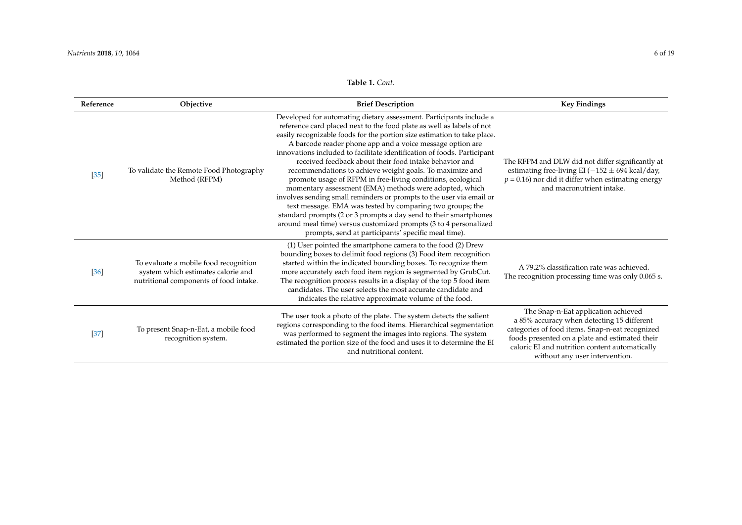## **Table 1.** *Cont.*

| Reference | Objective                                                                                                             | <b>Brief Description</b>                                                                                                                                                                                                                                                                                                                                                                                                                                                                                                                                                                                                                                                                                                                                                                                                                                                                                                                            | <b>Key Findings</b>                                                                                                                                                                                                                                                        |  |
|-----------|-----------------------------------------------------------------------------------------------------------------------|-----------------------------------------------------------------------------------------------------------------------------------------------------------------------------------------------------------------------------------------------------------------------------------------------------------------------------------------------------------------------------------------------------------------------------------------------------------------------------------------------------------------------------------------------------------------------------------------------------------------------------------------------------------------------------------------------------------------------------------------------------------------------------------------------------------------------------------------------------------------------------------------------------------------------------------------------------|----------------------------------------------------------------------------------------------------------------------------------------------------------------------------------------------------------------------------------------------------------------------------|--|
| $[35]$    | To validate the Remote Food Photography<br>Method (RFPM)                                                              | Developed for automating dietary assessment. Participants include a<br>reference card placed next to the food plate as well as labels of not<br>easily recognizable foods for the portion size estimation to take place.<br>A barcode reader phone app and a voice message option are<br>innovations included to facilitate identification of foods. Participant<br>received feedback about their food intake behavior and<br>recommendations to achieve weight goals. To maximize and<br>promote usage of RFPM in free-living conditions, ecological<br>momentary assessment (EMA) methods were adopted, which<br>involves sending small reminders or prompts to the user via email or<br>text message. EMA was tested by comparing two groups; the<br>standard prompts (2 or 3 prompts a day send to their smartphones<br>around meal time) versus customized prompts (3 to 4 personalized<br>prompts, send at participants' specific meal time). | The RFPM and DLW did not differ significantly at<br>estimating free-living EI ( $-152 \pm 694$ kcal/day,<br>$p = 0.16$ ) nor did it differ when estimating energy<br>and macronutrient intake.                                                                             |  |
| $[36]$    | To evaluate a mobile food recognition<br>system which estimates calorie and<br>nutritional components of food intake. | (1) User pointed the smartphone camera to the food (2) Drew<br>bounding boxes to delimit food regions (3) Food item recognition<br>started within the indicated bounding boxes. To recognize them<br>more accurately each food item region is segmented by GrubCut.<br>The recognition process results in a display of the top 5 food item<br>candidates. The user selects the most accurate candidate and<br>indicates the relative approximate volume of the food.                                                                                                                                                                                                                                                                                                                                                                                                                                                                                | A 79.2% classification rate was achieved.<br>The recognition processing time was only 0.065 s.                                                                                                                                                                             |  |
| [37]      | To present Snap-n-Eat, a mobile food<br>recognition system.                                                           | The user took a photo of the plate. The system detects the salient<br>regions corresponding to the food items. Hierarchical segmentation<br>was performed to segment the images into regions. The system<br>estimated the portion size of the food and uses it to determine the EI<br>and nutritional content.                                                                                                                                                                                                                                                                                                                                                                                                                                                                                                                                                                                                                                      | The Snap-n-Eat application achieved<br>a 85% accuracy when detecting 15 different<br>categories of food items. Snap-n-eat recognized<br>foods presented on a plate and estimated their<br>caloric EI and nutrition content automatically<br>without any user intervention. |  |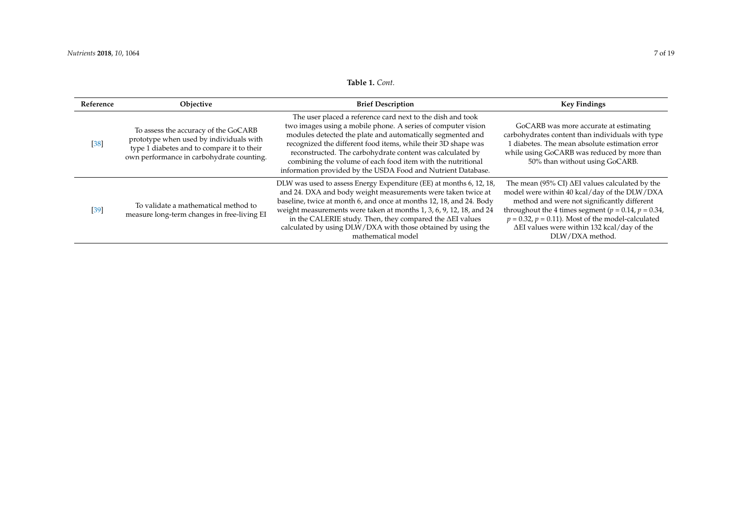## **Table 1.** *Cont.*

<span id="page-6-0"></span>

| Reference | Objective                                                                                                                                                                  | <b>Brief Description</b>                                                                                                                                                                                                                                                                                                                                                                                                                              | <b>Key Findings</b>                                                                                                                                                                                                                                                                                                                             |  |
|-----------|----------------------------------------------------------------------------------------------------------------------------------------------------------------------------|-------------------------------------------------------------------------------------------------------------------------------------------------------------------------------------------------------------------------------------------------------------------------------------------------------------------------------------------------------------------------------------------------------------------------------------------------------|-------------------------------------------------------------------------------------------------------------------------------------------------------------------------------------------------------------------------------------------------------------------------------------------------------------------------------------------------|--|
| $[38]$    | To assess the accuracy of the GoCARB<br>prototype when used by individuals with<br>type 1 diabetes and to compare it to their<br>own performance in carbohydrate counting. | The user placed a reference card next to the dish and took<br>two images using a mobile phone. A series of computer vision<br>modules detected the plate and automatically segmented and<br>recognized the different food items, while their 3D shape was<br>reconstructed. The carbohydrate content was calculated by<br>combining the volume of each food item with the nutritional<br>information provided by the USDA Food and Nutrient Database. | GoCARB was more accurate at estimating<br>carbohydrates content than individuals with type<br>1 diabetes. The mean absolute estimation error<br>while using GoCARB was reduced by more than<br>50% than without using GoCARB.                                                                                                                   |  |
| $[39]$    | To validate a mathematical method to<br>measure long-term changes in free-living EI                                                                                        | DLW was used to assess Energy Expenditure (EE) at months 6, 12, 18,<br>and 24. DXA and body weight measurements were taken twice at<br>baseline, twice at month 6, and once at months 12, 18, and 24. Body<br>weight measurements were taken at months 1, 3, 6, 9, 12, 18, and 24<br>in the CALERIE study. Then, they compared the $\Delta EI$ values<br>calculated by using DLW/DXA with those obtained by using the<br>mathematical model           | The mean (95% CI) $\Delta$ EI values calculated by the<br>model were within 40 kcal/day of the DLW/DXA<br>method and were not significantly different<br>throughout the 4 times segment ( $p = 0.14$ , $p = 0.34$ ,<br>$p = 0.32$ , $p = 0.11$ ). Most of the model-calculated<br>ΔEI values were within 132 kcal/day of the<br>DLW/DXA method. |  |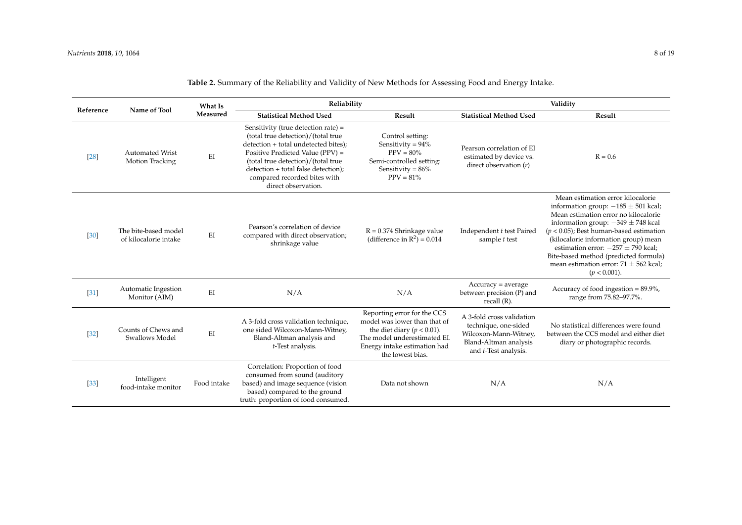| Reference         | Name of Tool                                  | What Is<br>Measured | Reliability                                                                                                                                                                                                                                                                               |                                                                                                                                                                                   | Validity                                                                                                                            |                                                                                                                                                                                                                                                                                                                                                                                                         |
|-------------------|-----------------------------------------------|---------------------|-------------------------------------------------------------------------------------------------------------------------------------------------------------------------------------------------------------------------------------------------------------------------------------------|-----------------------------------------------------------------------------------------------------------------------------------------------------------------------------------|-------------------------------------------------------------------------------------------------------------------------------------|---------------------------------------------------------------------------------------------------------------------------------------------------------------------------------------------------------------------------------------------------------------------------------------------------------------------------------------------------------------------------------------------------------|
|                   |                                               |                     | <b>Statistical Method Used</b>                                                                                                                                                                                                                                                            | Result                                                                                                                                                                            | <b>Statistical Method Used</b>                                                                                                      | Result                                                                                                                                                                                                                                                                                                                                                                                                  |
| [28]              | <b>Automated Wrist</b><br>Motion Tracking     | EI                  | Sensitivity (true detection rate) =<br>(total true detection)/(total true<br>detection + total undetected bites);<br>Positive Predicted Value (PPV) =<br>(total true detection)/(total true<br>detection + total false detection);<br>compared recorded bites with<br>direct observation. | Control setting:<br>Sensitivity = $94\%$<br>$PPV = 80\%$<br>Semi-controlled setting:<br>Sensitivity = $86\%$<br>$PPV = 81\%$                                                      | Pearson correlation of EI<br>estimated by device vs.<br>direct observation $(r)$                                                    | $R = 0.6$                                                                                                                                                                                                                                                                                                                                                                                               |
| $[30]$            | The bite-based model<br>of kilocalorie intake | EI                  | Pearson's correlation of device<br>compared with direct observation;<br>shrinkage value                                                                                                                                                                                                   | $R = 0.374$ Shrinkage value<br>(difference in $\mathbb{R}^2$ ) = 0.014                                                                                                            | Independent t test Paired<br>sample t test                                                                                          | Mean estimation error kilocalorie<br>information group: $-185 \pm 501$ kcal;<br>Mean estimation error no kilocalorie<br>information group: $-349 \pm 748$ kcal<br>$(p < 0.05)$ ; Best human-based estimation<br>(kilocalorie information group) mean<br>estimation error: $-257 \pm 790$ kcal:<br>Bite-based method (predicted formula)<br>mean estimation error: $71 \pm 562$ kcal;<br>$(p < 0.001)$ . |
| $\left[31\right]$ | Automatic Ingestion<br>Monitor (AIM)          | EI                  | N/A                                                                                                                                                                                                                                                                                       | N/A                                                                                                                                                                               | $Accuracy = average$<br>between precision (P) and<br>recall $(R)$ .                                                                 | Accuracy of food ingestion = 89.9%,<br>range from 75.82-97.7%.                                                                                                                                                                                                                                                                                                                                          |
| $[32]$            | Counts of Chews and<br>Swallows Model         | EI                  | A 3-fold cross validation technique,<br>one sided Wilcoxon-Mann-Witney,<br>Bland-Altman analysis and<br>t-Test analysis.                                                                                                                                                                  | Reporting error for the CCS<br>model was lower than that of<br>the diet diary ( $p < 0.01$ ).<br>The model underestimated EI.<br>Energy intake estimation had<br>the lowest bias. | A 3-fold cross validation<br>technique, one-sided<br>Wilcoxon-Mann-Witney,<br>Bland-Altman analysis<br>and <i>t</i> -Test analysis. | No statistical differences were found<br>between the CCS model and either diet<br>diary or photographic records.                                                                                                                                                                                                                                                                                        |
| $[33]$            | Intelligent<br>food-intake monitor            | Food intake         | Correlation: Proportion of food<br>consumed from sound (auditory<br>based) and image sequence (vision<br>based) compared to the ground<br>truth: proportion of food consumed.                                                                                                             | Data not shown                                                                                                                                                                    | N/A                                                                                                                                 | N/A                                                                                                                                                                                                                                                                                                                                                                                                     |

**Table 2.** Summary of the Reliability and Validity of New Methods for Assessing Food and Energy Intake.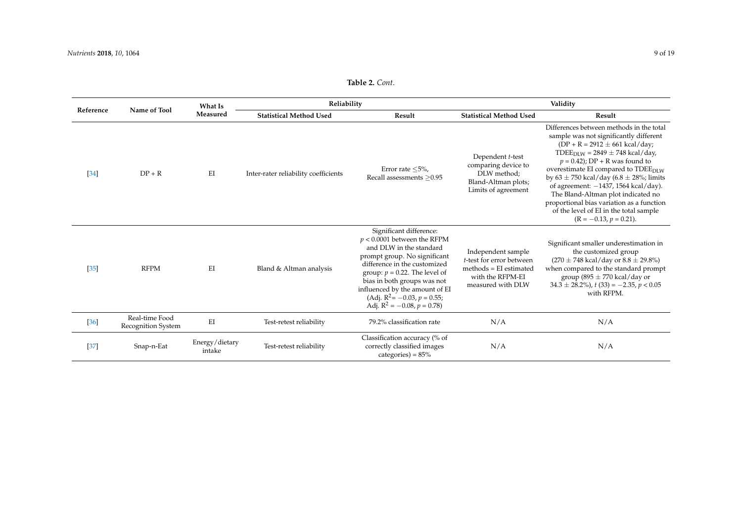## **Table 2.** *Cont*.

| Reference | Name of Tool                                | What Is<br>Measured      | Reliability                          |                                                                                                                                                                                                                                                                                                                                   | Validity                                                                                                            |                                                                                                                                                                                                                                                                                                                                                                                                                                                                                                                                     |
|-----------|---------------------------------------------|--------------------------|--------------------------------------|-----------------------------------------------------------------------------------------------------------------------------------------------------------------------------------------------------------------------------------------------------------------------------------------------------------------------------------|---------------------------------------------------------------------------------------------------------------------|-------------------------------------------------------------------------------------------------------------------------------------------------------------------------------------------------------------------------------------------------------------------------------------------------------------------------------------------------------------------------------------------------------------------------------------------------------------------------------------------------------------------------------------|
|           |                                             |                          | <b>Statistical Method Used</b>       | Result                                                                                                                                                                                                                                                                                                                            | <b>Statistical Method Used</b>                                                                                      | Result                                                                                                                                                                                                                                                                                                                                                                                                                                                                                                                              |
| $[34]$    | $DP + R$                                    | EI                       | Inter-rater reliability coefficients | Error rate $\leq 5\%$ ,<br>Recall assessments >0.95                                                                                                                                                                                                                                                                               | Dependent t-test<br>comparing device to<br>DLW method:<br>Bland-Altman plots;<br>Limits of agreement                | Differences between methods in the total<br>sample was not significantly different<br>$(DP + R = 2912 \pm 661 \text{ kcal/day})$<br>TDEE <sub>DLW</sub> = 2849 $\pm$ 748 kcal/day,<br>$p = 0.42$ ; DP + R was found to<br>overestimate EI compared to TDEE <sub>DLW</sub><br>by $63 \pm 750$ kcal/day $(6.8 \pm 28\%)$ ; limits<br>of agreement: $-1437$ , 1564 kcal/day).<br>The Bland-Altman plot indicated no<br>proportional bias variation as a function<br>of the level of EI in the total sample<br>$(R = -0.13, p = 0.21).$ |
| $[35]$    | <b>RFPM</b>                                 | EI                       | Bland & Altman analysis              | Significant difference:<br>$p < 0.0001$ between the RFPM<br>and DLW in the standard<br>prompt group. No significant<br>difference in the customized<br>group: $p = 0.22$ . The level of<br>bias in both groups was not<br>influenced by the amount of EI<br>(Adj. $R^2$ = -0.03, $p$ = 0.55;<br>Adj. $R^2 = -0.08$ , $p = 0.78$ ) | Independent sample<br>t-test for error between<br>$methods = EI$ estimated<br>with the RFPM-EI<br>measured with DLW | Significant smaller underestimation in<br>the customized group<br>$(270 \pm 748 \text{ kcal/day or } 8.8 \pm 29.8\%)$<br>when compared to the standard prompt<br>group (895 $\pm$ 770 kcal/day or<br>$34.3 \pm 28.2\%$ , t (33) = -2.35, p < 0.05<br>with RFPM.                                                                                                                                                                                                                                                                     |
| $[36]$    | Real-time Food<br><b>Recognition System</b> | EI                       | Test-retest reliability              | 79.2% classification rate                                                                                                                                                                                                                                                                                                         | N/A                                                                                                                 | N/A                                                                                                                                                                                                                                                                                                                                                                                                                                                                                                                                 |
| [37]      | Snap-n-Eat                                  | Energy/dietary<br>intake | Test-retest reliability              | Classification accuracy (% of<br>correctly classified images<br>categories) = $85\%$                                                                                                                                                                                                                                              | N/A                                                                                                                 | N/A                                                                                                                                                                                                                                                                                                                                                                                                                                                                                                                                 |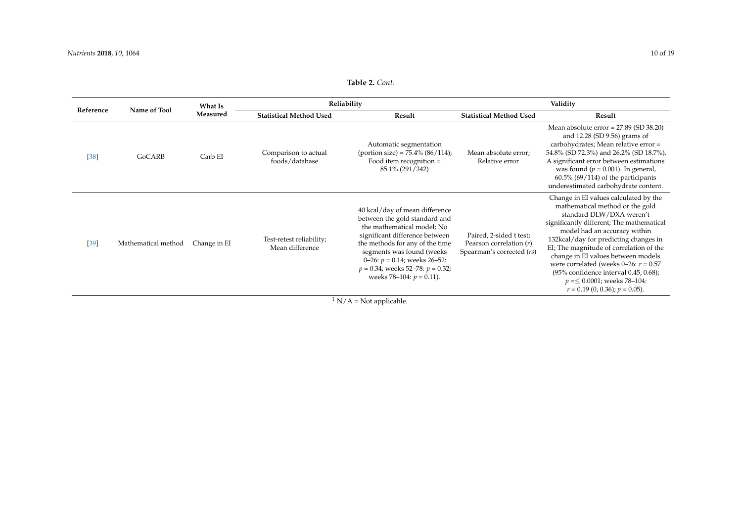## **Table 2.** *Cont*.

<span id="page-9-0"></span>

| Reference                   | Name of Tool        | What Is<br>Measured | Reliability                                 |                                                                                                                                                                                                                                                                                                             | Validity                                                                          |                                                                                                                                                                                                                                                                                                                                                                                                                                                                        |
|-----------------------------|---------------------|---------------------|---------------------------------------------|-------------------------------------------------------------------------------------------------------------------------------------------------------------------------------------------------------------------------------------------------------------------------------------------------------------|-----------------------------------------------------------------------------------|------------------------------------------------------------------------------------------------------------------------------------------------------------------------------------------------------------------------------------------------------------------------------------------------------------------------------------------------------------------------------------------------------------------------------------------------------------------------|
|                             |                     |                     | <b>Statistical Method Used</b>              | Result                                                                                                                                                                                                                                                                                                      | <b>Statistical Method Used</b>                                                    | Result                                                                                                                                                                                                                                                                                                                                                                                                                                                                 |
| [38]                        | GoCARB              | Carb EI             | Comparison to actual<br>foods/database      | Automatic segmentation<br>(portion size) = $75.4\%$ (86/114);<br>Food item recognition =<br>85.1% (291/342)                                                                                                                                                                                                 | Mean absolute error;<br>Relative error                                            | Mean absolute $error = 27.89$ (SD 38.20)<br>and 12.28 (SD 9.56) grams of<br>carbohydrates; Mean relative error =<br>54.8% (SD 72.3%) and 26.2% (SD 18.7%).<br>A significant error between estimations<br>was found ( $p = 0.001$ ). In general,<br>$60.5\%$ (69/114) of the participants<br>underestimated carbohydrate content.                                                                                                                                       |
| $[39]$                      | Mathematical method | Change in EI        | Test-retest reliability;<br>Mean difference | 40 kcal/day of mean difference<br>between the gold standard and<br>the mathematical model; No<br>significant difference between<br>the methods for any of the time<br>segments was found (weeks<br>0–26: $p = 0.14$ ; weeks 26–52:<br>$p = 0.34$ ; weeks 52–78: $p = 0.32$ ;<br>weeks 78–104: $p = 0.11$ ). | Paired, 2-sided t test;<br>Pearson correlation $(r)$<br>Spearman's corrected (rs) | Change in EI values calculated by the<br>mathematical method or the gold<br>standard DLW/DXA weren't<br>significantly different; The mathematical<br>model had an accuracy within<br>132kcal/day for predicting changes in<br>EI; The magnitude of correlation of the<br>change in EI values between models<br>were correlated (weeks 0-26: $r = 0.57$<br>(95% confidence interval 0.45, 0.68);<br>$p = 0.0001$ ; weeks 78-104:<br>$r = 0.19$ (0, 0.36); $p = 0.05$ ). |
| $\rm N/A = Not$ applicable. |                     |                     |                                             |                                                                                                                                                                                                                                                                                                             |                                                                                   |                                                                                                                                                                                                                                                                                                                                                                                                                                                                        |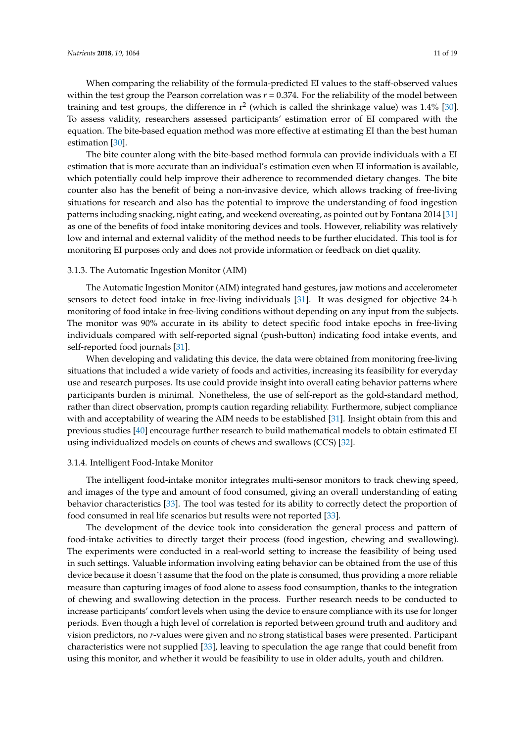When comparing the reliability of the formula-predicted EI values to the staff-observed values within the test group the Pearson correlation was *r* = 0.374. For the reliability of the model between training and test groups, the difference in  $r^2$  (which is called the shrinkage value) was 1.4% [\[30\]](#page-17-0). To assess validity, researchers assessed participants' estimation error of EI compared with the equation. The bite-based equation method was more effective at estimating EI than the best human estimation [\[30\]](#page-17-0).

The bite counter along with the bite-based method formula can provide individuals with a EI estimation that is more accurate than an individual's estimation even when EI information is available, which potentially could help improve their adherence to recommended dietary changes. The bite counter also has the benefit of being a non-invasive device, which allows tracking of free-living situations for research and also has the potential to improve the understanding of food ingestion patterns including snacking, night eating, and weekend overeating, as pointed out by Fontana 2014 [\[31\]](#page-17-1) as one of the benefits of food intake monitoring devices and tools. However, reliability was relatively low and internal and external validity of the method needs to be further elucidated. This tool is for monitoring EI purposes only and does not provide information or feedback on diet quality.

#### 3.1.3. The Automatic Ingestion Monitor (AIM)

The Automatic Ingestion Monitor (AIM) integrated hand gestures, jaw motions and accelerometer sensors to detect food intake in free-living individuals [\[31\]](#page-17-1). It was designed for objective 24-h monitoring of food intake in free-living conditions without depending on any input from the subjects. The monitor was 90% accurate in its ability to detect specific food intake epochs in free-living individuals compared with self-reported signal (push-button) indicating food intake events, and self-reported food journals [\[31\]](#page-17-1).

When developing and validating this device, the data were obtained from monitoring free-living situations that included a wide variety of foods and activities, increasing its feasibility for everyday use and research purposes. Its use could provide insight into overall eating behavior patterns where participants burden is minimal. Nonetheless, the use of self-report as the gold-standard method, rather than direct observation, prompts caution regarding reliability. Furthermore, subject compliance with and acceptability of wearing the AIM needs to be established [\[31\]](#page-17-1). Insight obtain from this and previous studies [\[40\]](#page-17-12) encourage further research to build mathematical models to obtain estimated EI using individualized models on counts of chews and swallows (CCS) [\[32\]](#page-17-13).

#### 3.1.4. Intelligent Food-Intake Monitor

The intelligent food-intake monitor integrates multi-sensor monitors to track chewing speed, and images of the type and amount of food consumed, giving an overall understanding of eating behavior characteristics [\[33\]](#page-17-14). The tool was tested for its ability to correctly detect the proportion of food consumed in real life scenarios but results were not reported [\[33\]](#page-17-14).

The development of the device took into consideration the general process and pattern of food-intake activities to directly target their process (food ingestion, chewing and swallowing). The experiments were conducted in a real-world setting to increase the feasibility of being used in such settings. Valuable information involving eating behavior can be obtained from the use of this device because it doesn´t assume that the food on the plate is consumed, thus providing a more reliable measure than capturing images of food alone to assess food consumption, thanks to the integration of chewing and swallowing detection in the process. Further research needs to be conducted to increase participants' comfort levels when using the device to ensure compliance with its use for longer periods. Even though a high level of correlation is reported between ground truth and auditory and vision predictors, no *r*-values were given and no strong statistical bases were presented. Participant characteristics were not supplied [\[33\]](#page-17-14), leaving to speculation the age range that could benefit from using this monitor, and whether it would be feasibility to use in older adults, youth and children.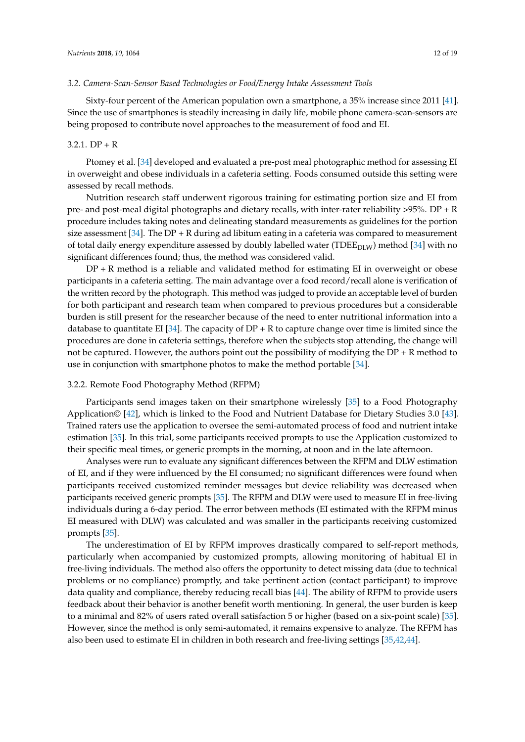#### *3.2. Camera-Scan-Sensor Based Technologies or Food/Energy Intake Assessment Tools*

Sixty-four percent of the American population own a smartphone, a 35% increase since 2011 [\[41\]](#page-17-15). Since the use of smartphones is steadily increasing in daily life, mobile phone camera-scan-sensors are being proposed to contribute novel approaches to the measurement of food and EI.

#### $3.2.1.$  DP + R

Ptomey et al. [\[34\]](#page-17-16) developed and evaluated a pre-post meal photographic method for assessing EI in overweight and obese individuals in a cafeteria setting. Foods consumed outside this setting were assessed by recall methods.

Nutrition research staff underwent rigorous training for estimating portion size and EI from pre- and post-meal digital photographs and dietary recalls, with inter-rater reliability >95%. DP + R procedure includes taking notes and delineating standard measurements as guidelines for the portion size assessment [\[34\]](#page-17-16). The DP + R during ad libitum eating in a cafeteria was compared to measurement of total daily energy expenditure assessed by doubly labelled water (TDE $E_{\text{DLW}}$ ) method [\[34\]](#page-17-16) with no significant differences found; thus, the method was considered valid.

 $DP + R$  method is a reliable and validated method for estimating EI in overweight or obese participants in a cafeteria setting. The main advantage over a food record/recall alone is verification of the written record by the photograph. This method was judged to provide an acceptable level of burden for both participant and research team when compared to previous procedures but a considerable burden is still present for the researcher because of the need to enter nutritional information into a database to quantitate EI [\[34\]](#page-17-16). The capacity of  $DP + R$  to capture change over time is limited since the procedures are done in cafeteria settings, therefore when the subjects stop attending, the change will not be captured. However, the authors point out the possibility of modifying the  $DP + R$  method to use in conjunction with smartphone photos to make the method portable [\[34\]](#page-17-16).

#### 3.2.2. Remote Food Photography Method (RFPM)

Participants send images taken on their smartphone wirelessly [\[35\]](#page-17-17) to a Food Photography Application© [\[42\]](#page-17-18), which is linked to the Food and Nutrient Database for Dietary Studies 3.0 [\[43\]](#page-17-19). Trained raters use the application to oversee the semi-automated process of food and nutrient intake estimation [\[35\]](#page-17-17). In this trial, some participants received prompts to use the Application customized to their specific meal times, or generic prompts in the morning, at noon and in the late afternoon.

Analyses were run to evaluate any significant differences between the RFPM and DLW estimation of EI, and if they were influenced by the EI consumed; no significant differences were found when participants received customized reminder messages but device reliability was decreased when participants received generic prompts [\[35\]](#page-17-17). The RFPM and DLW were used to measure EI in free-living individuals during a 6-day period. The error between methods (EI estimated with the RFPM minus EI measured with DLW) was calculated and was smaller in the participants receiving customized prompts [\[35\]](#page-17-17).

The underestimation of EI by RFPM improves drastically compared to self-report methods, particularly when accompanied by customized prompts, allowing monitoring of habitual EI in free-living individuals. The method also offers the opportunity to detect missing data (due to technical problems or no compliance) promptly, and take pertinent action (contact participant) to improve data quality and compliance, thereby reducing recall bias [\[44\]](#page-17-20). The ability of RFPM to provide users feedback about their behavior is another benefit worth mentioning. In general, the user burden is keep to a minimal and 82% of users rated overall satisfaction 5 or higher (based on a six-point scale) [\[35\]](#page-17-17). However, since the method is only semi-automated, it remains expensive to analyze. The RFPM has also been used to estimate EI in children in both research and free-living settings [\[35](#page-17-17)[,42](#page-17-18)[,44\]](#page-17-20).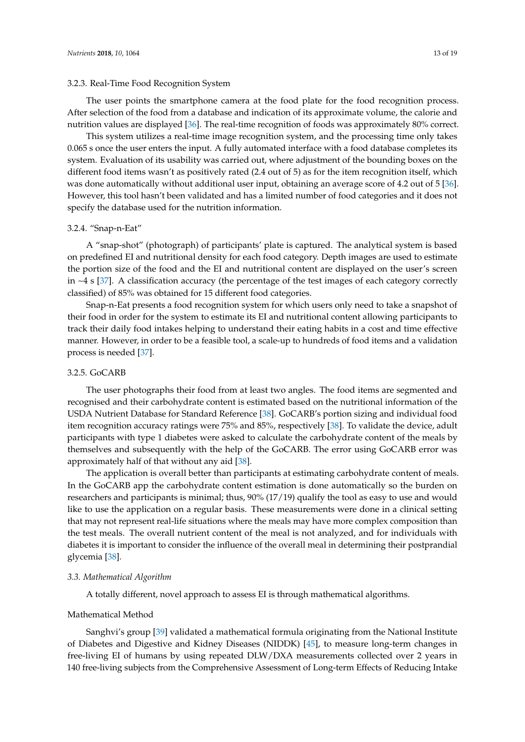#### 3.2.3. Real-Time Food Recognition System

This system utilizes a real-time image recognition system, and the processing time only takes 0.065 s once the user enters the input. A fully automated interface with a food database completes its system. Evaluation of its usability was carried out, where adjustment of the bounding boxes on the different food items wasn't as positively rated (2.4 out of 5) as for the item recognition itself, which was done automatically without additional user input, obtaining an average score of 4.2 out of 5 [\[36\]](#page-17-21). However, this tool hasn't been validated and has a limited number of food categories and it does not specify the database used for the nutrition information.

### 3.2.4. "Snap-n-Eat"

A "snap-shot" (photograph) of participants' plate is captured. The analytical system is based on predefined EI and nutritional density for each food category. Depth images are used to estimate the portion size of the food and the EI and nutritional content are displayed on the user's screen in  $\sim$ 4 s [\[37\]](#page-17-22). A classification accuracy (the percentage of the test images of each category correctly classified) of 85% was obtained for 15 different food categories.

Snap-n-Eat presents a food recognition system for which users only need to take a snapshot of their food in order for the system to estimate its EI and nutritional content allowing participants to track their daily food intakes helping to understand their eating habits in a cost and time effective manner. However, in order to be a feasible tool, a scale-up to hundreds of food items and a validation process is needed [\[37\]](#page-17-22).

#### 3.2.5. GoCARB

The user photographs their food from at least two angles. The food items are segmented and recognised and their carbohydrate content is estimated based on the nutritional information of the USDA Nutrient Database for Standard Reference [\[38\]](#page-17-23). GoCARB's portion sizing and individual food item recognition accuracy ratings were 75% and 85%, respectively [\[38\]](#page-17-23). To validate the device, adult participants with type 1 diabetes were asked to calculate the carbohydrate content of the meals by themselves and subsequently with the help of the GoCARB. The error using GoCARB error was approximately half of that without any aid [\[38\]](#page-17-23).

The application is overall better than participants at estimating carbohydrate content of meals. In the GoCARB app the carbohydrate content estimation is done automatically so the burden on researchers and participants is minimal; thus, 90% (17/19) qualify the tool as easy to use and would like to use the application on a regular basis. These measurements were done in a clinical setting that may not represent real-life situations where the meals may have more complex composition than the test meals. The overall nutrient content of the meal is not analyzed, and for individuals with diabetes it is important to consider the influence of the overall meal in determining their postprandial glycemia [\[38\]](#page-17-23).

#### *3.3. Mathematical Algorithm*

A totally different, novel approach to assess EI is through mathematical algorithms.

#### Mathematical Method

Sanghvi's group [\[39\]](#page-17-24) validated a mathematical formula originating from the National Institute of Diabetes and Digestive and Kidney Diseases (NIDDK) [\[45\]](#page-17-25), to measure long-term changes in free-living EI of humans by using repeated DLW/DXA measurements collected over 2 years in 140 free-living subjects from the Comprehensive Assessment of Long-term Effects of Reducing Intake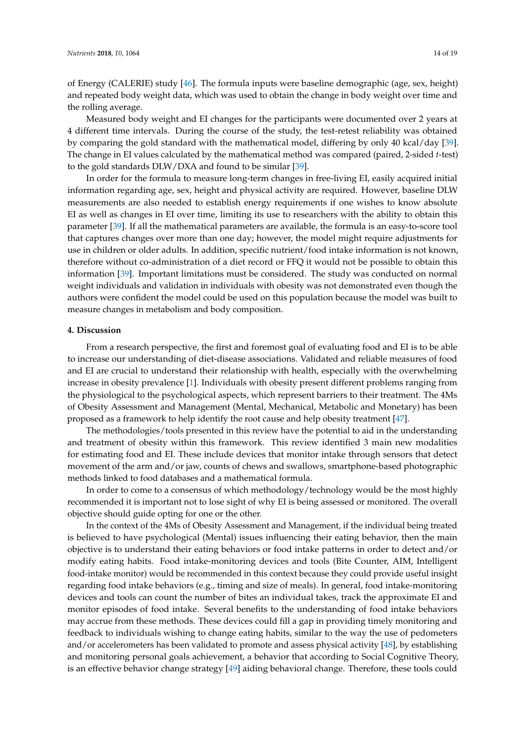of Energy (CALERIE) study [\[46\]](#page-17-26). The formula inputs were baseline demographic (age, sex, height) and repeated body weight data, which was used to obtain the change in body weight over time and the rolling average.

Measured body weight and EI changes for the participants were documented over 2 years at 4 different time intervals. During the course of the study, the test-retest reliability was obtained by comparing the gold standard with the mathematical model, differing by only 40 kcal/day [\[39\]](#page-17-24). The change in EI values calculated by the mathematical method was compared (paired, 2-sided *t*-test) to the gold standards DLW/DXA and found to be similar [\[39\]](#page-17-24).

In order for the formula to measure long-term changes in free-living EI, easily acquired initial information regarding age, sex, height and physical activity are required. However, baseline DLW measurements are also needed to establish energy requirements if one wishes to know absolute EI as well as changes in EI over time, limiting its use to researchers with the ability to obtain this parameter [\[39\]](#page-17-24). If all the mathematical parameters are available, the formula is an easy-to-score tool that captures changes over more than one day; however, the model might require adjustments for use in children or older adults. In addition, specific nutrient/food intake information is not known, therefore without co-administration of a diet record or FFQ it would not be possible to obtain this information [\[39\]](#page-17-24). Important limitations must be considered. The study was conducted on normal weight individuals and validation in individuals with obesity was not demonstrated even though the authors were confident the model could be used on this population because the model was built to measure changes in metabolism and body composition.

#### **4. Discussion**

From a research perspective, the first and foremost goal of evaluating food and EI is to be able to increase our understanding of diet-disease associations. Validated and reliable measures of food and EI are crucial to understand their relationship with health, especially with the overwhelming increase in obesity prevalence [\[1\]](#page-15-0). Individuals with obesity present different problems ranging from the physiological to the psychological aspects, which represent barriers to their treatment. The 4Ms of Obesity Assessment and Management (Mental, Mechanical, Metabolic and Monetary) has been proposed as a framework to help identify the root cause and help obesity treatment [\[47\]](#page-17-27).

The methodologies/tools presented in this review have the potential to aid in the understanding and treatment of obesity within this framework. This review identified 3 main new modalities for estimating food and EI. These include devices that monitor intake through sensors that detect movement of the arm and/or jaw, counts of chews and swallows, smartphone-based photographic methods linked to food databases and a mathematical formula.

In order to come to a consensus of which methodology/technology would be the most highly recommended it is important not to lose sight of why EI is being assessed or monitored. The overall objective should guide opting for one or the other.

In the context of the 4Ms of Obesity Assessment and Management, if the individual being treated is believed to have psychological (Mental) issues influencing their eating behavior, then the main objective is to understand their eating behaviors or food intake patterns in order to detect and/or modify eating habits. Food intake-monitoring devices and tools (Bite Counter, AIM, Intelligent food-intake monitor) would be recommended in this context because they could provide useful insight regarding food intake behaviors (e.g., timing and size of meals). In general, food intake-monitoring devices and tools can count the number of bites an individual takes, track the approximate EI and monitor episodes of food intake. Several benefits to the understanding of food intake behaviors may accrue from these methods. These devices could fill a gap in providing timely monitoring and feedback to individuals wishing to change eating habits, similar to the way the use of pedometers and/or accelerometers has been validated to promote and assess physical activity [\[48\]](#page-17-28), by establishing and monitoring personal goals achievement, a behavior that according to Social Cognitive Theory, is an effective behavior change strategy [\[49\]](#page-17-29) aiding behavioral change. Therefore, these tools could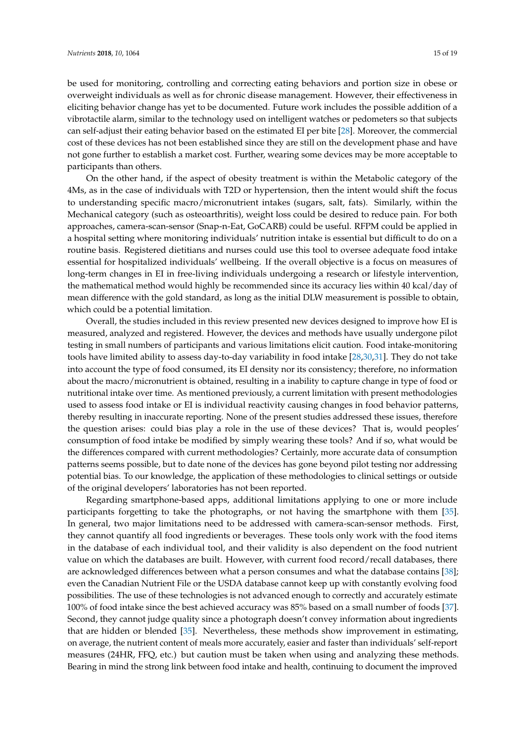be used for monitoring, controlling and correcting eating behaviors and portion size in obese or overweight individuals as well as for chronic disease management. However, their effectiveness in eliciting behavior change has yet to be documented. Future work includes the possible addition of a vibrotactile alarm, similar to the technology used on intelligent watches or pedometers so that subjects can self-adjust their eating behavior based on the estimated EI per bite [\[28\]](#page-16-17). Moreover, the commercial cost of these devices has not been established since they are still on the development phase and have not gone further to establish a market cost. Further, wearing some devices may be more acceptable to participants than others.

On the other hand, if the aspect of obesity treatment is within the Metabolic category of the 4Ms, as in the case of individuals with T2D or hypertension, then the intent would shift the focus to understanding specific macro/micronutrient intakes (sugars, salt, fats). Similarly, within the Mechanical category (such as osteoarthritis), weight loss could be desired to reduce pain. For both approaches, camera-scan-sensor (Snap-n-Eat, GoCARB) could be useful. RFPM could be applied in a hospital setting where monitoring individuals' nutrition intake is essential but difficult to do on a routine basis. Registered dietitians and nurses could use this tool to oversee adequate food intake essential for hospitalized individuals' wellbeing. If the overall objective is a focus on measures of long-term changes in EI in free-living individuals undergoing a research or lifestyle intervention, the mathematical method would highly be recommended since its accuracy lies within 40 kcal/day of mean difference with the gold standard, as long as the initial DLW measurement is possible to obtain, which could be a potential limitation.

Overall, the studies included in this review presented new devices designed to improve how EI is measured, analyzed and registered. However, the devices and methods have usually undergone pilot testing in small numbers of participants and various limitations elicit caution. Food intake-monitoring tools have limited ability to assess day-to-day variability in food intake [\[28](#page-16-17)[,30](#page-17-0)[,31\]](#page-17-1). They do not take into account the type of food consumed, its EI density nor its consistency; therefore, no information about the macro/micronutrient is obtained, resulting in a inability to capture change in type of food or nutritional intake over time. As mentioned previously, a current limitation with present methodologies used to assess food intake or EI is individual reactivity causing changes in food behavior patterns, thereby resulting in inaccurate reporting. None of the present studies addressed these issues, therefore the question arises: could bias play a role in the use of these devices? That is, would peoples' consumption of food intake be modified by simply wearing these tools? And if so, what would be the differences compared with current methodologies? Certainly, more accurate data of consumption patterns seems possible, but to date none of the devices has gone beyond pilot testing nor addressing potential bias. To our knowledge, the application of these methodologies to clinical settings or outside of the original developers' laboratories has not been reported.

Regarding smartphone-based apps, additional limitations applying to one or more include participants forgetting to take the photographs, or not having the smartphone with them [\[35\]](#page-17-17). In general, two major limitations need to be addressed with camera-scan-sensor methods. First, they cannot quantify all food ingredients or beverages. These tools only work with the food items in the database of each individual tool, and their validity is also dependent on the food nutrient value on which the databases are built. However, with current food record/recall databases, there are acknowledged differences between what a person consumes and what the database contains [\[38\]](#page-17-23); even the Canadian Nutrient File or the USDA database cannot keep up with constantly evolving food possibilities. The use of these technologies is not advanced enough to correctly and accurately estimate 100% of food intake since the best achieved accuracy was 85% based on a small number of foods [\[37\]](#page-17-22). Second, they cannot judge quality since a photograph doesn't convey information about ingredients that are hidden or blended [\[35\]](#page-17-17). Nevertheless, these methods show improvement in estimating, on average, the nutrient content of meals more accurately, easier and faster than individuals' self-report measures (24HR, FFQ, etc.) but caution must be taken when using and analyzing these methods. Bearing in mind the strong link between food intake and health, continuing to document the improved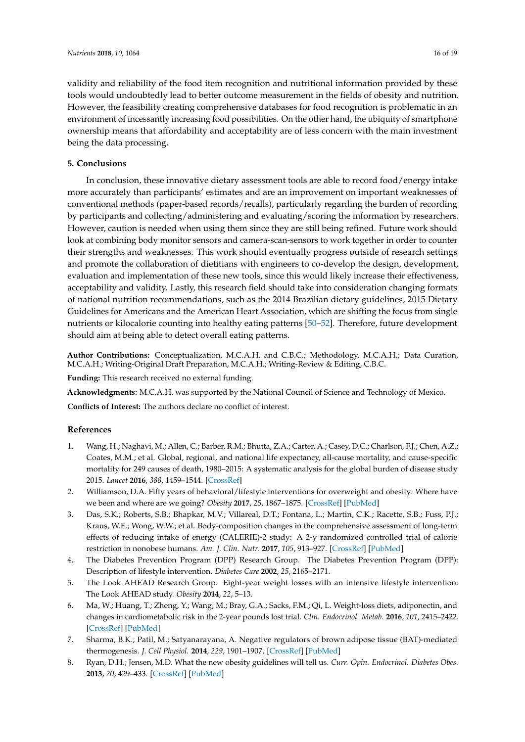validity and reliability of the food item recognition and nutritional information provided by these tools would undoubtedly lead to better outcome measurement in the fields of obesity and nutrition. However, the feasibility creating comprehensive databases for food recognition is problematic in an environment of incessantly increasing food possibilities. On the other hand, the ubiquity of smartphone ownership means that affordability and acceptability are of less concern with the main investment being the data processing.

#### **5. Conclusions**

In conclusion, these innovative dietary assessment tools are able to record food/energy intake more accurately than participants' estimates and are an improvement on important weaknesses of conventional methods (paper-based records/recalls), particularly regarding the burden of recording by participants and collecting/administering and evaluating/scoring the information by researchers. However, caution is needed when using them since they are still being refined. Future work should look at combining body monitor sensors and camera-scan-sensors to work together in order to counter their strengths and weaknesses. This work should eventually progress outside of research settings and promote the collaboration of dietitians with engineers to co-develop the design, development, evaluation and implementation of these new tools, since this would likely increase their effectiveness, acceptability and validity. Lastly, this research field should take into consideration changing formats of national nutrition recommendations, such as the 2014 Brazilian dietary guidelines, 2015 Dietary Guidelines for Americans and the American Heart Association, which are shifting the focus from single nutrients or kilocalorie counting into healthy eating patterns [\[50](#page-18-0)[–52\]](#page-18-1). Therefore, future development should aim at being able to detect overall eating patterns.

**Author Contributions:** Conceptualization, M.C.A.H. and C.B.C.; Methodology, M.C.A.H.; Data Curation, M.C.A.H.; Writing-Original Draft Preparation, M.C.A.H.; Writing-Review & Editing, C.B.C.

**Funding:** This research received no external funding.

**Acknowledgments:** M.C.A.H. was supported by the National Council of Science and Technology of Mexico.

**Conflicts of Interest:** The authors declare no conflict of interest.

#### **References**

- <span id="page-15-0"></span>1. Wang, H.; Naghavi, M.; Allen, C.; Barber, R.M.; Bhutta, Z.A.; Carter, A.; Casey, D.C.; Charlson, F.J.; Chen, A.Z.; Coates, M.M.; et al. Global, regional, and national life expectancy, all-cause mortality, and cause-specific mortality for 249 causes of death, 1980–2015: A systematic analysis for the global burden of disease study 2015. *Lancet* **2016**, *388*, 1459–1544. [\[CrossRef\]](http://dx.doi.org/10.1016/S0140-6736(16)31012-1)
- <span id="page-15-1"></span>2. Williamson, D.A. Fifty years of behavioral/lifestyle interventions for overweight and obesity: Where have we been and where are we going? *Obesity* **2017**, *25*, 1867–1875. [\[CrossRef\]](http://dx.doi.org/10.1002/oby.21914) [\[PubMed\]](http://www.ncbi.nlm.nih.gov/pubmed/28944593)
- <span id="page-15-2"></span>3. Das, S.K.; Roberts, S.B.; Bhapkar, M.V.; Villareal, D.T.; Fontana, L.; Martin, C.K.; Racette, S.B.; Fuss, P.J.; Kraus, W.E.; Wong, W.W.; et al. Body-composition changes in the comprehensive assessment of long-term effects of reducing intake of energy (CALERIE)-2 study: A 2-y randomized controlled trial of calorie restriction in nonobese humans. *Am. J. Clin. Nutr.* **2017**, *105*, 913–927. [\[CrossRef\]](http://dx.doi.org/10.3945/ajcn.116.137232) [\[PubMed\]](http://www.ncbi.nlm.nih.gov/pubmed/28228420)
- 4. The Diabetes Prevention Program (DPP) Research Group. The Diabetes Prevention Program (DPP): Description of lifestyle intervention. *Diabetes Care* **2002**, *25*, 2165–2171.
- 5. The Look AHEAD Research Group. Eight-year weight losses with an intensive lifestyle intervention: The Look AHEAD study. *Obesity* **2014**, *22*, 5–13.
- <span id="page-15-3"></span>6. Ma, W.; Huang, T.; Zheng, Y.; Wang, M.; Bray, G.A.; Sacks, F.M.; Qi, L. Weight-loss diets, adiponectin, and changes in cardiometabolic risk in the 2-year pounds lost trial. *Clin. Endocrinol. Metab.* **2016**, *101*, 2415–2422. [\[CrossRef\]](http://dx.doi.org/10.1210/jc.2016-1207) [\[PubMed\]](http://www.ncbi.nlm.nih.gov/pubmed/27055193)
- <span id="page-15-4"></span>7. Sharma, B.K.; Patil, M.; Satyanarayana, A. Negative regulators of brown adipose tissue (BAT)-mediated thermogenesis. *J. Cell Physiol.* **2014**, *229*, 1901–1907. [\[CrossRef\]](http://dx.doi.org/10.1002/jcp.24664) [\[PubMed\]](http://www.ncbi.nlm.nih.gov/pubmed/24809334)
- 8. Ryan, D.H.; Jensen, M.D. What the new obesity guidelines will tell us. *Curr. Opin. Endocrinol. Diabetes Obes.* **2013**, *20*, 429–433. [\[CrossRef\]](http://dx.doi.org/10.1097/01.med.0000432612.80860.34) [\[PubMed\]](http://www.ncbi.nlm.nih.gov/pubmed/23974771)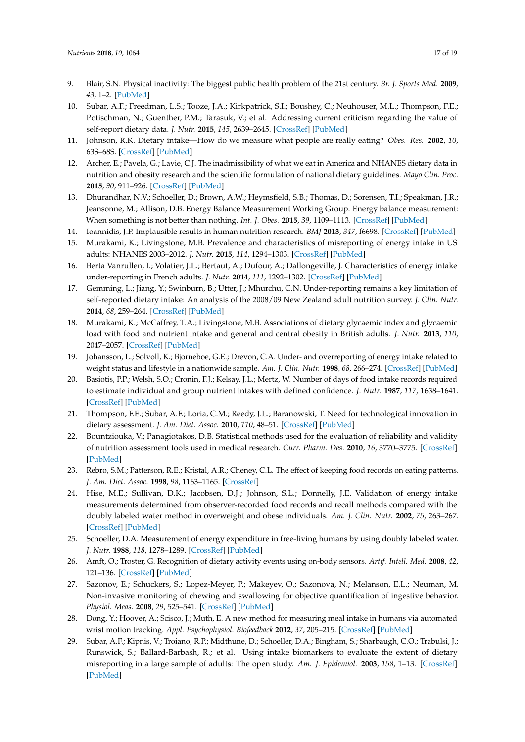- <span id="page-16-0"></span>9. Blair, S.N. Physical inactivity: The biggest public health problem of the 21st century. *Br. J. Sports Med.* **2009**, *43*, 1–2. [\[PubMed\]](http://www.ncbi.nlm.nih.gov/pubmed/19136507)
- <span id="page-16-1"></span>10. Subar, A.F.; Freedman, L.S.; Tooze, J.A.; Kirkpatrick, S.I.; Boushey, C.; Neuhouser, M.L.; Thompson, F.E.; Potischman, N.; Guenther, P.M.; Tarasuk, V.; et al. Addressing current criticism regarding the value of self-report dietary data. *J. Nutr.* **2015**, *145*, 2639–2645. [\[CrossRef\]](http://dx.doi.org/10.3945/jn.115.219634) [\[PubMed\]](http://www.ncbi.nlm.nih.gov/pubmed/26468491)
- <span id="page-16-2"></span>11. Johnson, R.K. Dietary intake—How do we measure what people are really eating? *Obes. Res.* **2002**, *10*, 63S–68S. [\[CrossRef\]](http://dx.doi.org/10.1038/oby.2002.192) [\[PubMed\]](http://www.ncbi.nlm.nih.gov/pubmed/12446861)
- <span id="page-16-3"></span>12. Archer, E.; Pavela, G.; Lavie, C.J. The inadmissibility of what we eat in America and NHANES dietary data in nutrition and obesity research and the scientific formulation of national dietary guidelines. *Mayo Clin. Proc.* **2015**, *90*, 911–926. [\[CrossRef\]](http://dx.doi.org/10.1016/j.mayocp.2015.04.009) [\[PubMed\]](http://www.ncbi.nlm.nih.gov/pubmed/26071068)
- <span id="page-16-4"></span>13. Dhurandhar, N.V.; Schoeller, D.; Brown, A.W.; Heymsfield, S.B.; Thomas, D.; Sorensen, T.I.; Speakman, J.R.; Jeansonne, M.; Allison, D.B. Energy Balance Measurement Working Group. Energy balance measurement: When something is not better than nothing. *Int. J. Obes.* **2015**, *39*, 1109–1113. [\[CrossRef\]](http://dx.doi.org/10.1038/ijo.2014.199) [\[PubMed\]](http://www.ncbi.nlm.nih.gov/pubmed/25394308)
- <span id="page-16-5"></span>14. Ioannidis, J.P. Implausible results in human nutrition research. *BMJ* **2013**, *347*, f6698. [\[CrossRef\]](http://dx.doi.org/10.1136/bmj.f6698) [\[PubMed\]](http://www.ncbi.nlm.nih.gov/pubmed/24231028)
- <span id="page-16-6"></span>15. Murakami, K.; Livingstone, M.B. Prevalence and characteristics of misreporting of energy intake in US adults: NHANES 2003–2012. *J. Nutr.* **2015**, *114*, 1294–1303. [\[CrossRef\]](http://dx.doi.org/10.1017/S0007114515002706) [\[PubMed\]](http://www.ncbi.nlm.nih.gov/pubmed/26299892)
- <span id="page-16-7"></span>16. Berta Vanrullen, I.; Volatier, J.L.; Bertaut, A.; Dufour, A.; Dallongeville, J. Characteristics of energy intake under-reporting in French adults. *J. Nutr.* **2014**, *111*, 1292–1302. [\[CrossRef\]](http://dx.doi.org/10.1017/S0007114513003759) [\[PubMed\]](http://www.ncbi.nlm.nih.gov/pubmed/24330816)
- 17. Gemming, L.; Jiang, Y.; Swinburn, B.; Utter, J.; Mhurchu, C.N. Under-reporting remains a key limitation of self-reported dietary intake: An analysis of the 2008/09 New Zealand adult nutrition survey. *J. Clin. Nutr.* **2014**, *68*, 259–264. [\[CrossRef\]](http://dx.doi.org/10.1038/ejcn.2013.242) [\[PubMed\]](http://www.ncbi.nlm.nih.gov/pubmed/24300904)
- 18. Murakami, K.; McCaffrey, T.A.; Livingstone, M.B. Associations of dietary glycaemic index and glycaemic load with food and nutrient intake and general and central obesity in British adults. *J. Nutr.* **2013**, *110*, 2047–2057. [\[CrossRef\]](http://dx.doi.org/10.1017/S0007114513001414) [\[PubMed\]](http://www.ncbi.nlm.nih.gov/pubmed/23656860)
- <span id="page-16-8"></span>19. Johansson, L.; Solvoll, K.; Bjorneboe, G.E.; Drevon, C.A. Under- and overreporting of energy intake related to weight status and lifestyle in a nationwide sample. *Am. J. Clin. Nutr.* **1998**, *68*, 266–274. [\[CrossRef\]](http://dx.doi.org/10.1093/ajcn/68.2.266) [\[PubMed\]](http://www.ncbi.nlm.nih.gov/pubmed/9701182)
- <span id="page-16-9"></span>20. Basiotis, P.P.; Welsh, S.O.; Cronin, F.J.; Kelsay, J.L.; Mertz, W. Number of days of food intake records required to estimate individual and group nutrient intakes with defined confidence. *J. Nutr.* **1987**, *117*, 1638–1641. [\[CrossRef\]](http://dx.doi.org/10.1093/jn/117.9.1638) [\[PubMed\]](http://www.ncbi.nlm.nih.gov/pubmed/3655942)
- <span id="page-16-19"></span><span id="page-16-10"></span>21. Thompson, F.E.; Subar, A.F.; Loria, C.M.; Reedy, J.L.; Baranowski, T. Need for technological innovation in dietary assessment. *J. Am. Diet. Assoc.* **2010**, *110*, 48–51. [\[CrossRef\]](http://dx.doi.org/10.1016/j.jada.2009.10.008) [\[PubMed\]](http://www.ncbi.nlm.nih.gov/pubmed/20102826)
- <span id="page-16-11"></span>22. Bountziouka, V.; Panagiotakos, D.B. Statistical methods used for the evaluation of reliability and validity of nutrition assessment tools used in medical research. *Curr. Pharm. Des.* **2010**, *16*, 3770–3775. [\[CrossRef\]](http://dx.doi.org/10.2174/138161210794455102) [\[PubMed\]](http://www.ncbi.nlm.nih.gov/pubmed/21128895)
- <span id="page-16-12"></span>23. Rebro, S.M.; Patterson, R.E.; Kristal, A.R.; Cheney, C.L. The effect of keeping food records on eating patterns. *J. Am. Diet. Assoc.* **1998**, *98*, 1163–1165. [\[CrossRef\]](http://dx.doi.org/10.1016/S0002-8223(98)00269-7)
- <span id="page-16-13"></span>24. Hise, M.E.; Sullivan, D.K.; Jacobsen, D.J.; Johnson, S.L.; Donnelly, J.E. Validation of energy intake measurements determined from observer-recorded food records and recall methods compared with the doubly labeled water method in overweight and obese individuals. *Am. J. Clin. Nutr.* **2002**, *75*, 263–267. [\[CrossRef\]](http://dx.doi.org/10.1093/ajcn/75.2.263) [\[PubMed\]](http://www.ncbi.nlm.nih.gov/pubmed/11815316)
- <span id="page-16-14"></span>25. Schoeller, D.A. Measurement of energy expenditure in free-living humans by using doubly labeled water. *J. Nutr.* **1988**, *118*, 1278–1289. [\[CrossRef\]](http://dx.doi.org/10.1093/jn/118.11.1278) [\[PubMed\]](http://www.ncbi.nlm.nih.gov/pubmed/3142975)
- <span id="page-16-15"></span>26. Amft, O.; Troster, G. Recognition of dietary activity events using on-body sensors. *Artif. Intell. Med.* **2008**, *42*, 121–136. [\[CrossRef\]](http://dx.doi.org/10.1016/j.artmed.2007.11.007) [\[PubMed\]](http://www.ncbi.nlm.nih.gov/pubmed/18242066)
- <span id="page-16-16"></span>27. Sazonov, E.; Schuckers, S.; Lopez-Meyer, P.; Makeyev, O.; Sazonova, N.; Melanson, E.L.; Neuman, M. Non-invasive monitoring of chewing and swallowing for objective quantification of ingestive behavior. *Physiol. Meas.* **2008**, *29*, 525–541. [\[CrossRef\]](http://dx.doi.org/10.1088/0967-3334/29/5/001) [\[PubMed\]](http://www.ncbi.nlm.nih.gov/pubmed/18427161)
- <span id="page-16-17"></span>28. Dong, Y.; Hoover, A.; Scisco, J.; Muth, E. A new method for measuring meal intake in humans via automated wrist motion tracking. *Appl. Psychophysiol. Biofeedback* **2012**, *37*, 205–215. [\[CrossRef\]](http://dx.doi.org/10.1007/s10484-012-9194-1) [\[PubMed\]](http://www.ncbi.nlm.nih.gov/pubmed/22488204)
- <span id="page-16-18"></span>29. Subar, A.F.; Kipnis, V.; Troiano, R.P.; Midthune, D.; Schoeller, D.A.; Bingham, S.; Sharbaugh, C.O.; Trabulsi, J.; Runswick, S.; Ballard-Barbash, R.; et al. Using intake biomarkers to evaluate the extent of dietary misreporting in a large sample of adults: The open study. *Am. J. Epidemiol.* **2003**, *158*, 1–13. [\[CrossRef\]](http://dx.doi.org/10.1093/aje/kwg092) [\[PubMed\]](http://www.ncbi.nlm.nih.gov/pubmed/12835280)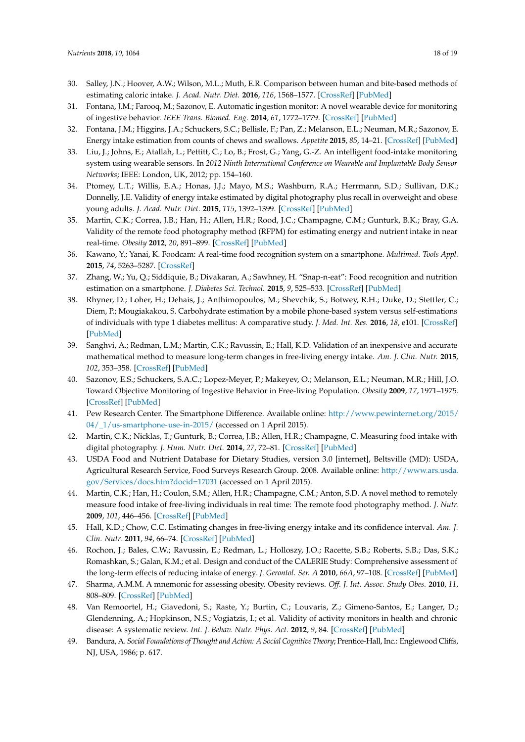- <span id="page-17-10"></span><span id="page-17-9"></span><span id="page-17-8"></span><span id="page-17-7"></span><span id="page-17-6"></span><span id="page-17-5"></span><span id="page-17-4"></span><span id="page-17-3"></span><span id="page-17-2"></span><span id="page-17-0"></span>30. Salley, J.N.; Hoover, A.W.; Wilson, M.L.; Muth, E.R. Comparison between human and bite-based methods of estimating caloric intake. *J. Acad. Nutr. Diet.* **2016**, *116*, 1568–1577. [\[CrossRef\]](http://dx.doi.org/10.1016/j.jand.2016.03.007) [\[PubMed\]](http://www.ncbi.nlm.nih.gov/pubmed/27085871)
- <span id="page-17-1"></span>31. Fontana, J.M.; Farooq, M.; Sazonov, E. Automatic ingestion monitor: A novel wearable device for monitoring of ingestive behavior. *IEEE Trans. Biomed. Eng.* **2014**, *61*, 1772–1779. [\[CrossRef\]](http://dx.doi.org/10.1109/TBME.2014.2306773) [\[PubMed\]](http://www.ncbi.nlm.nih.gov/pubmed/24845288)
- <span id="page-17-13"></span><span id="page-17-11"></span>32. Fontana, J.M.; Higgins, J.A.; Schuckers, S.C.; Bellisle, F.; Pan, Z.; Melanson, E.L.; Neuman, M.R.; Sazonov, E. Energy intake estimation from counts of chews and swallows. *Appetite* **2015**, *85*, 14–21. [\[CrossRef\]](http://dx.doi.org/10.1016/j.appet.2014.11.003) [\[PubMed\]](http://www.ncbi.nlm.nih.gov/pubmed/25447016)
- <span id="page-17-14"></span>33. Liu, J.; Johns, E.; Atallah, L.; Pettitt, C.; Lo, B.; Frost, G.; Yang, G.-Z. An intelligent food-intake monitoring system using wearable sensors. In *2012 Ninth International Conference on Wearable and Implantable Body Sensor Networks*; IEEE: London, UK, 2012; pp. 154–160.
- <span id="page-17-16"></span>34. Ptomey, L.T.; Willis, E.A.; Honas, J.J.; Mayo, M.S.; Washburn, R.A.; Herrmann, S.D.; Sullivan, D.K.; Donnelly, J.E. Validity of energy intake estimated by digital photography plus recall in overweight and obese young adults. *J. Acad. Nutr. Diet.* **2015**, *115*, 1392–1399. [\[CrossRef\]](http://dx.doi.org/10.1016/j.jand.2015.05.006) [\[PubMed\]](http://www.ncbi.nlm.nih.gov/pubmed/26122282)
- <span id="page-17-17"></span>35. Martin, C.K.; Correa, J.B.; Han, H.; Allen, H.R.; Rood, J.C.; Champagne, C.M.; Gunturk, B.K.; Bray, G.A. Validity of the remote food photography method (RFPM) for estimating energy and nutrient intake in near real-time. *Obesity* **2012**, *20*, 891–899. [\[CrossRef\]](http://dx.doi.org/10.1038/oby.2011.344) [\[PubMed\]](http://www.ncbi.nlm.nih.gov/pubmed/22134199)
- <span id="page-17-21"></span>36. Kawano, Y.; Yanai, K. Foodcam: A real-time food recognition system on a smartphone. *Multimed. Tools Appl.* **2015**, *74*, 5263–5287. [\[CrossRef\]](http://dx.doi.org/10.1007/s11042-014-2000-8)
- <span id="page-17-22"></span>37. Zhang, W.; Yu, Q.; Siddiquie, B.; Divakaran, A.; Sawhney, H. "Snap-n-eat": Food recognition and nutrition estimation on a smartphone. *J. Diabetes Sci. Technol.* **2015**, *9*, 525–533. [\[CrossRef\]](http://dx.doi.org/10.1177/1932296815582222) [\[PubMed\]](http://www.ncbi.nlm.nih.gov/pubmed/25901024)
- <span id="page-17-23"></span>38. Rhyner, D.; Loher, H.; Dehais, J.; Anthimopoulos, M.; Shevchik, S.; Botwey, R.H.; Duke, D.; Stettler, C.; Diem, P.; Mougiakakou, S. Carbohydrate estimation by a mobile phone-based system versus self-estimations of individuals with type 1 diabetes mellitus: A comparative study. *J. Med. Int. Res.* **2016**, *18*, e101. [\[CrossRef\]](http://dx.doi.org/10.2196/jmir.5567) [\[PubMed\]](http://www.ncbi.nlm.nih.gov/pubmed/27170498)
- <span id="page-17-24"></span>39. Sanghvi, A.; Redman, L.M.; Martin, C.K.; Ravussin, E.; Hall, K.D. Validation of an inexpensive and accurate mathematical method to measure long-term changes in free-living energy intake. *Am. J. Clin. Nutr.* **2015**, *102*, 353–358. [\[CrossRef\]](http://dx.doi.org/10.3945/ajcn.115.111070) [\[PubMed\]](http://www.ncbi.nlm.nih.gov/pubmed/26040640)
- <span id="page-17-12"></span>40. Sazonov, E.S.; Schuckers, S.A.C.; Lopez-Meyer, P.; Makeyev, O.; Melanson, E.L.; Neuman, M.R.; Hill, J.O. Toward Objective Monitoring of Ingestive Behavior in Free-living Population. *Obesity* **2009**, *17*, 1971–1975. [\[CrossRef\]](http://dx.doi.org/10.1038/oby.2009.153) [\[PubMed\]](http://www.ncbi.nlm.nih.gov/pubmed/19444225)
- <span id="page-17-15"></span>41. Pew Research Center. The Smartphone Difference. Available online: [http://www.pewinternet.org/2015/](http://www.pewinternet.org/2015/04/_1/us-smartphone-use-in-2015/) [04/\\_1/us-smartphone-use-in-2015/](http://www.pewinternet.org/2015/04/_1/us-smartphone-use-in-2015/) (accessed on 1 April 2015).
- <span id="page-17-18"></span>42. Martin, C.K.; Nicklas, T.; Gunturk, B.; Correa, J.B.; Allen, H.R.; Champagne, C. Measuring food intake with digital photography. *J. Hum. Nutr. Diet.* **2014**, *27*, 72–81. [\[CrossRef\]](http://dx.doi.org/10.1111/jhn.12014) [\[PubMed\]](http://www.ncbi.nlm.nih.gov/pubmed/23848588)
- <span id="page-17-19"></span>43. USDA Food and Nutrient Database for Dietary Studies, version 3.0 [internet], Beltsville (MD): USDA, Agricultural Research Service, Food Surveys Research Group. 2008. Available online: [http://www.ars.usda.](http://www.ars.usda.gov/Services/docs.htm?docid=17031) [gov/Services/docs.htm?docid=17031](http://www.ars.usda.gov/Services/docs.htm?docid=17031) (accessed on 1 April 2015).
- <span id="page-17-20"></span>44. Martin, C.K.; Han, H.; Coulon, S.M.; Allen, H.R.; Champagne, C.M.; Anton, S.D. A novel method to remotely measure food intake of free-living individuals in real time: The remote food photography method. *J. Nutr.* **2009**, *101*, 446–456. [\[CrossRef\]](http://dx.doi.org/10.1017/S0007114508027438) [\[PubMed\]](http://www.ncbi.nlm.nih.gov/pubmed/18616837)
- <span id="page-17-25"></span>45. Hall, K.D.; Chow, C.C. Estimating changes in free-living energy intake and its confidence interval. *Am. J. Clin. Nutr.* **2011**, *94*, 66–74. [\[CrossRef\]](http://dx.doi.org/10.3945/ajcn.111.014399) [\[PubMed\]](http://www.ncbi.nlm.nih.gov/pubmed/21562087)
- <span id="page-17-26"></span>46. Rochon, J.; Bales, C.W.; Ravussin, E.; Redman, L.; Holloszy, J.O.; Racette, S.B.; Roberts, S.B.; Das, S.K.; Romashkan, S.; Galan, K.M.; et al. Design and conduct of the CALERIE Study: Comprehensive assessment of the long-term effects of reducing intake of energy. *J. Gerontol. Ser. A* **2010**, *66A*, 97–108. [\[CrossRef\]](http://dx.doi.org/10.1093/gerona/glq168) [\[PubMed\]](http://www.ncbi.nlm.nih.gov/pubmed/20923909)
- <span id="page-17-27"></span>47. Sharma, A.M.M. A mnemonic for assessing obesity. Obesity reviews. *Off. J. Int. Assoc. Study Obes.* **2010**, *11*, 808–809. [\[CrossRef\]](http://dx.doi.org/10.1111/j.1467-789X.2010.00766.x) [\[PubMed\]](http://www.ncbi.nlm.nih.gov/pubmed/21182728)
- <span id="page-17-28"></span>48. Van Remoortel, H.; Giavedoni, S.; Raste, Y.; Burtin, C.; Louvaris, Z.; Gimeno-Santos, E.; Langer, D.; Glendenning, A.; Hopkinson, N.S.; Vogiatzis, I.; et al. Validity of activity monitors in health and chronic disease: A systematic review. *Int. J. Behav. Nutr. Phys. Act.* **2012**, *9*, 84. [\[CrossRef\]](http://dx.doi.org/10.1186/1479-5868-9-84) [\[PubMed\]](http://www.ncbi.nlm.nih.gov/pubmed/22776399)
- <span id="page-17-29"></span>49. Bandura, A. *Social Foundations of Thought and Action: A Social Cognitive Theory*; Prentice-Hall, Inc.: Englewood Cliffs, NJ, USA, 1986; p. 617.